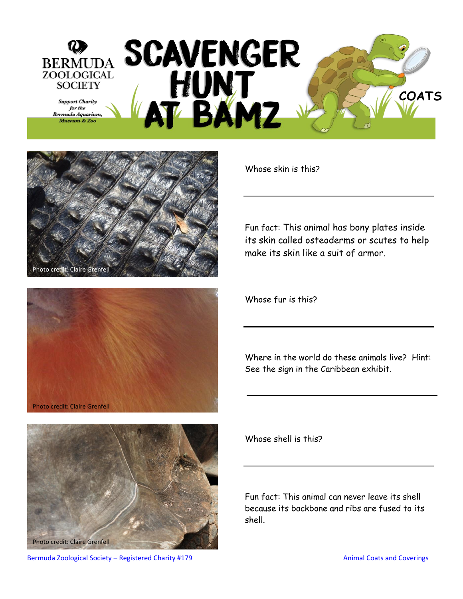







Whose skin is this?

Fun fact: This animal has bony plates inside its skin called osteoderms or scutes to help make its skin like a suit of armor.

Whose fur is this?

Where in the world do these animals live? Hint: See the sign in the Caribbean exhibit.

Whose shell is this?

Fun fact: This animal can never leave its shell because its backbone and ribs are fused to its shell.

Bermuda Zoological Society – Registered Charity #179 Animal Coats and Coverings and Coverings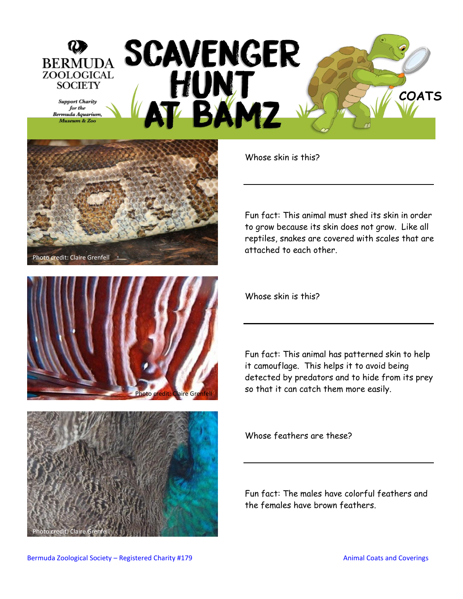## SCAVENGER<br>HUNT<br>AT BAMZ **BERMUDA** ZOOLOGICAL **SOCIETY COATS Support Charity** for the Bermuda Aquarium, Museum & Zoo







Whose skin is this?

Fun fact: This animal must shed its skin in order to grow because its skin does not grow. Like all reptiles, snakes are covered with scales that are attached to each other.

Whose skin is this?

Fun fact: This animal has patterned skin to help it camouflage. This helps it to avoid being detected by predators and to hide from its prey so that it can catch them more easily.

Whose feathers are these?

Fun fact: The males have colorful feathers and the females have brown feathers.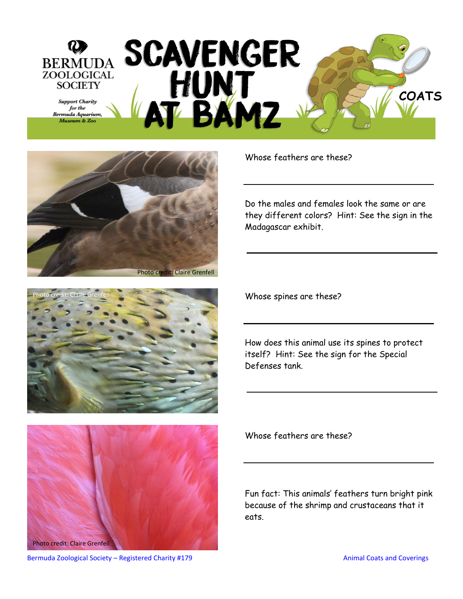





Photo credit: Claire Grenfell

Whose feathers are these?

Do the males and females look the same or are they different colors? Hint: See the sign in the Madagascar exhibit.

Whose spines are these?

How does this animal use its spines to protect itself? Hint: See the sign for the Special Defenses tank.

Whose feathers are these?

Fun fact: This animals' feathers turn bright pink because of the shrimp and crustaceans that it eats.

Bermuda Zoological Society – Registered Charity #179 Animal Coats and Coverings and Coverings